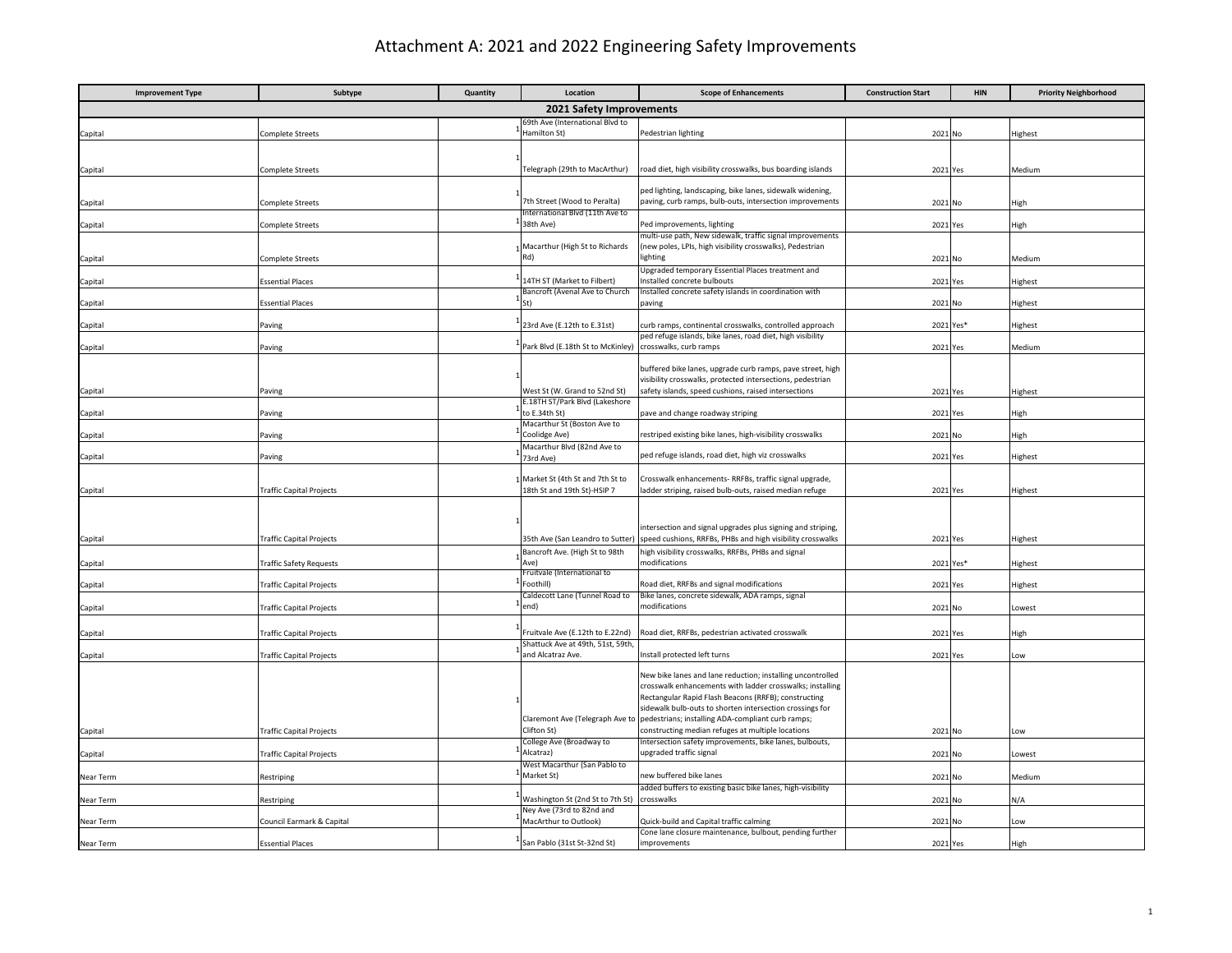## Attachment A: 2021 and 2022 Engineering Safety Improvements

| <b>Improvement Type</b>  | Subtype                         | Quantity | Location                                                        | <b>Scope of Enhancements</b>                                                                                          | <b>Construction Start</b> | <b>HIN</b> | <b>Priority Neighborhood</b> |  |  |
|--------------------------|---------------------------------|----------|-----------------------------------------------------------------|-----------------------------------------------------------------------------------------------------------------------|---------------------------|------------|------------------------------|--|--|
| 2021 Safety Improvements |                                 |          |                                                                 |                                                                                                                       |                           |            |                              |  |  |
| Capital                  | <b>Complete Streets</b>         |          | 69th Ave (International Blvd to<br>Hamilton St)                 | Pedestrian lighting                                                                                                   | 2021 No                   |            | Highest                      |  |  |
|                          |                                 |          |                                                                 |                                                                                                                       |                           |            |                              |  |  |
|                          |                                 |          |                                                                 |                                                                                                                       |                           |            |                              |  |  |
| Capital                  | Complete Streets                |          | Telegraph (29th to MacArthur)                                   | oad diet, high visibility crosswalks, bus boarding islands                                                            | 2021 Yes                  |            | Medium                       |  |  |
|                          |                                 |          |                                                                 | ped lighting, landscaping, bike lanes, sidewalk widening,                                                             |                           |            |                              |  |  |
| Capital                  | Complete Streets                |          | 7th Street (Wood to Peralta)<br>International Blvd (11th Ave to | paving, curb ramps, bulb-outs, intersection improvements                                                              | 2021 No                   |            | High                         |  |  |
| Capital                  | Complete Streets                |          | 38th Ave)                                                       | Ped improvements, lighting                                                                                            | 2021 Yes                  |            | High                         |  |  |
|                          |                                 |          |                                                                 | nulti-use path, New sidewalk, traffic signal improvements                                                             |                           |            |                              |  |  |
| Capital                  | <b>Complete Streets</b>         |          | Macarthur (High St to Richards<br>Rd)                           | (new poles, LPIs, high visibility crosswalks), Pedestrian<br>lighting                                                 | 2021 No                   |            | Medium                       |  |  |
|                          |                                 |          |                                                                 | Upgraded temporary Essential Places treatment and                                                                     |                           |            |                              |  |  |
| Capital                  | <b>Essential Places</b>         |          | 14TH ST (Market to Filbert)<br>Bancroft (Avenal Ave to Church   | nstalled concrete bulbouts<br>Installed concrete safety islands in coordination with                                  | 2021 Yes                  |            | Highest                      |  |  |
| Capital                  | <b>Essential Places</b>         |          |                                                                 | paving                                                                                                                | 2021 No                   |            | Highest                      |  |  |
|                          |                                 |          |                                                                 |                                                                                                                       |                           |            |                              |  |  |
| Capital                  | Paving                          |          | 23rd Ave (E.12th to E.31st)                                     | curb ramps, continental crosswalks, controlled approach<br>ped refuge islands, bike lanes, road diet, high visibility |                           | 2021 Yes*  | Highest                      |  |  |
| Capital                  | Paving                          |          | Park Blvd (E.18th St to McKinley)                               | crosswalks, curb ramps                                                                                                | 2021 Yes                  |            | Medium                       |  |  |
|                          |                                 |          |                                                                 | buffered bike lanes, upgrade curb ramps, pave street, high                                                            |                           |            |                              |  |  |
|                          |                                 |          |                                                                 | visibility crosswalks, protected intersections, pedestrian                                                            |                           |            |                              |  |  |
| Capital                  | Paving                          |          | West St (W. Grand to 52nd St)                                   | safety islands, speed cushions, raised intersections                                                                  | 2021 Yes                  |            | Highest                      |  |  |
| apital                   | Paving                          |          | E.18TH ST/Park Blvd (Lakeshore<br>to E.34th St)                 | pave and change roadway striping                                                                                      | 2021                      | Yes        | High                         |  |  |
|                          |                                 |          | Macarthur St (Boston Ave to                                     |                                                                                                                       |                           |            |                              |  |  |
| Capital                  | Paving                          |          | Coolidge Ave)<br>Macarthur Blvd (82nd Ave to                    | estriped existing bike lanes, high-visibility crosswalks                                                              | 2021 No                   |            | High                         |  |  |
| Capital                  | Paving                          |          | 73rd Ave)                                                       | ped refuge islands, road diet, high viz crosswalks                                                                    | 2021 Yes                  |            | Highest                      |  |  |
|                          |                                 |          | Market St (4th St and 7th St to                                 | Crosswalk enhancements- RRFBs, traffic signal upgrade,                                                                |                           |            |                              |  |  |
| Capital                  | <b>Traffic Capital Projects</b> |          | 18th St and 19th St)-HSIP 7                                     | ladder striping, raised bulb-outs, raised median refuge                                                               | 2021                      | Yes        | Highest                      |  |  |
|                          |                                 |          |                                                                 |                                                                                                                       |                           |            |                              |  |  |
|                          |                                 |          |                                                                 | intersection and signal upgrades plus signing and striping,                                                           |                           |            |                              |  |  |
| Capital                  | <b>Traffic Capital Projects</b> |          | 35th Ave (San Leandro to Sutter)                                | speed cushions, RRFBs, PHBs and high visibility crosswalks                                                            | 2021 Yes                  |            | Highest                      |  |  |
|                          |                                 |          | Bancroft Ave. (High St to 98th                                  | high visibility crosswalks, RRFBs, PHBs and signal                                                                    |                           |            |                              |  |  |
| Capital                  | <b>Traffic Safety Requests</b>  |          | Ave)<br>Fruitvale (International to                             | nodifications                                                                                                         |                           | 2021 Yes*  | Highest                      |  |  |
| `apital                  | Traffic Capital Projects        |          | Foothill)                                                       | Road diet, RRFBs and signal modifications                                                                             | 2021 Yes                  |            | Highest                      |  |  |
|                          |                                 |          | Caldecott Lane (Tunnel Road to                                  | Bike lanes, concrete sidewalk, ADA ramps, signal<br>modifications                                                     |                           |            |                              |  |  |
| Capital                  | <b>Traffic Capital Projects</b> |          | end)                                                            |                                                                                                                       | 2021                      | No         | Lowest                       |  |  |
| Capital                  | <b>Traffic Capital Projects</b> |          | Fruitvale Ave (E.12th to E.22nd)                                | Road diet, RRFBs, pedestrian activated crosswalk                                                                      | 2021 Yes                  |            | High                         |  |  |
|                          |                                 |          | Shattuck Ave at 49th, 51st, 59th,                               |                                                                                                                       |                           |            |                              |  |  |
| Capital                  | Traffic Capital Projects        |          | and Alcatraz Ave.                                               | Install protected left turns                                                                                          | 2021                      | Yes        | Low                          |  |  |
|                          |                                 |          |                                                                 | New bike lanes and lane reduction; installing uncontrolled                                                            |                           |            |                              |  |  |
|                          |                                 |          |                                                                 | rosswalk enhancements with ladder crosswalks; installing<br>Rectangular Rapid Flash Beacons (RRFB); constructing      |                           |            |                              |  |  |
|                          |                                 |          |                                                                 | sidewalk bulb-outs to shorten intersection crossings for                                                              |                           |            |                              |  |  |
|                          |                                 |          | Claremont Ave (Telegraph Ave to<br>Clifton St)                  | pedestrians; installing ADA-compliant curb ramps;<br>constructing median refuges at multiple locations                |                           |            |                              |  |  |
| Capital                  | Traffic Capital Projects        |          | College Ave (Broadway to                                        | Intersection safety improvements, bike lanes, bulbouts,                                                               | 2021 No                   |            | Low                          |  |  |
| Capital                  | <b>Traffic Capital Projects</b> |          | Alcatraz)                                                       | upgraded traffic signal                                                                                               | 2021 No                   |            | Lowest                       |  |  |
| Near Term                | Restriping                      |          | West Macarthur (San Pablo to<br>Market St)                      | new buffered bike lanes                                                                                               | 2021 No                   |            | Medium                       |  |  |
|                          |                                 |          |                                                                 | added buffers to existing basic bike lanes, high-visibility                                                           |                           |            |                              |  |  |
| Near Term                | Restriping                      |          | Washington St (2nd St to 7th St)<br>Ney Ave (73rd to 82nd and   | crosswalks                                                                                                            | 2021 No                   |            | N/A                          |  |  |
| Near Term                | Council Earmark & Capital       |          | MacArthur to Outlook)                                           | Quick-build and Capital traffic calming                                                                               | 2021 No                   |            | Low                          |  |  |
|                          |                                 |          | San Pablo (31st St-32nd St)                                     | Cone lane closure maintenance, bulbout, pending further<br>improvements                                               |                           |            |                              |  |  |
| Near Term                | <b>Essential Places</b>         |          |                                                                 |                                                                                                                       | 2021 Yes                  |            | High                         |  |  |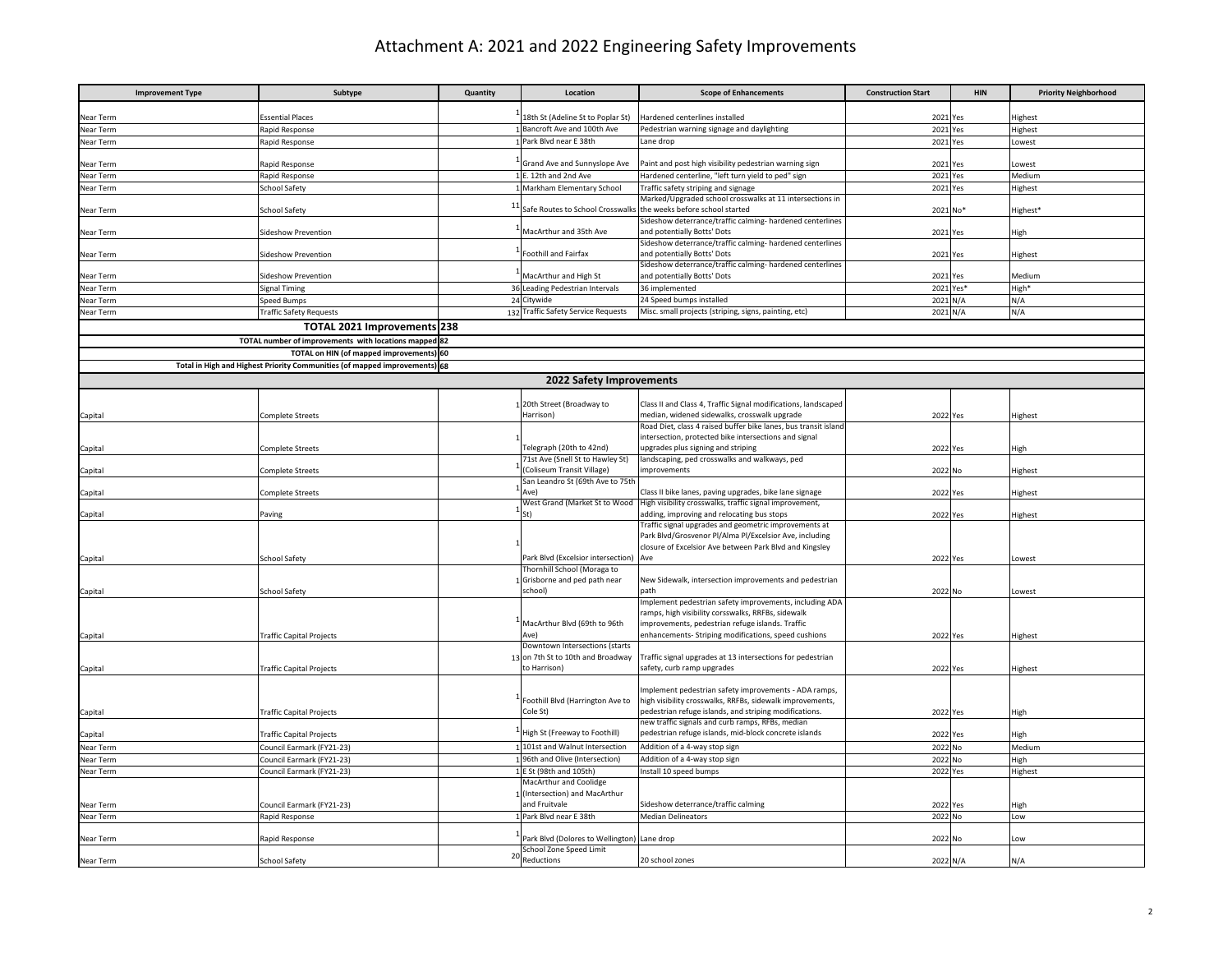## Attachment A: 2021 and 2022 Engineering Safety Improvements

| <b>Improvement Type</b> | Subtype                                                                    | Quantity | Location                                                            | <b>Scope of Enhancements</b>                                                                                       | <b>Construction Start</b> | <b>HIN</b> | <b>Priority Neighborhood</b> |
|-------------------------|----------------------------------------------------------------------------|----------|---------------------------------------------------------------------|--------------------------------------------------------------------------------------------------------------------|---------------------------|------------|------------------------------|
|                         |                                                                            |          |                                                                     |                                                                                                                    |                           |            |                              |
| Near Term               | ssential Places                                                            |          | 18th St (Adeline St to Poplar St)                                   | Hardened centerlines installed                                                                                     | 2021 Yes                  |            | lighest                      |
| Near Term               | Rapid Response                                                             |          | Bancroft Ave and 100th Ave<br>Park Blvd near E 38th                 | Pedestrian warning signage and daylighting                                                                         | 2021 Yes                  |            | Highest                      |
| Near Term               | Rapid Response                                                             |          |                                                                     | Lane drop                                                                                                          | 2021 Yes                  |            | Lowest                       |
| Near Term               | Rapid Response                                                             |          | Grand Ave and Sunnyslope Ave                                        | Paint and post high visibility pedestrian warning sign                                                             | 2021 Yes                  |            | Lowest                       |
| Near Term               | Rapid Response                                                             |          | E. 12th and 2nd Ave                                                 | Hardened centerline, "left turn yield to ped" sign                                                                 | 2021 Yes                  |            | Medium                       |
| Near Term               | School Safety                                                              |          | Markham Elementary School                                           | Traffic safety striping and signage                                                                                | 2021 Yes                  |            | Highest                      |
|                         |                                                                            |          |                                                                     | Marked/Upgraded school crosswalks at 11 intersections in                                                           |                           |            |                              |
| Near Term               | School Safety                                                              |          | 11 Safe Routes to School Crosswalks the weeks before school started |                                                                                                                    | 2021 No*                  |            | lighest*                     |
| Near Term               | Sideshow Prevention                                                        |          | MacArthur and 35th Ave                                              | Sideshow deterrance/traffic calming- hardened centerlines<br>and potentially Botts' Dots                           | 2021 Yes                  |            | High                         |
|                         |                                                                            |          |                                                                     | Sideshow deterrance/traffic calming- hardened centerlines                                                          |                           |            |                              |
| Near Term               | ideshow Prevention                                                         |          | Foothill and Fairfax                                                | and potentially Botts' Dots                                                                                        | 2021                      | Yes        | Highest                      |
|                         |                                                                            |          |                                                                     | Sideshow deterrance/traffic calming- hardened centerlines                                                          |                           |            |                              |
| Near Term               | Sideshow Prevention                                                        |          | MacArthur and High St                                               | and potentially Botts' Dots                                                                                        | 2021 Yes                  |            | Medium                       |
| Near Term               | Signal Timing                                                              |          | 36 Leading Pedestrian Intervals                                     | 36 implemented                                                                                                     |                           | 2021 Yes*  | High*                        |
| Near Term               | Speed Bumps                                                                |          | 24 Citywide                                                         | 24 Speed bumps installed                                                                                           | 2021 N/A                  |            | N/A                          |
| Near Term               | <b>Traffic Safety Requests</b>                                             |          | 132 Traffic Safety Service Requests                                 | Misc. small projects (striping, signs, painting, etc)                                                              | 2021 N/A                  |            | N/A                          |
|                         | TOTAL 2021 Improvements 238                                                |          |                                                                     |                                                                                                                    |                           |            |                              |
|                         | TOTAL number of improvements with locations mapped                         | 82       |                                                                     |                                                                                                                    |                           |            |                              |
|                         | TOTAL on HIN (of mapped improvements) 60                                   |          |                                                                     |                                                                                                                    |                           |            |                              |
|                         | Total in High and Highest Priority Communities (of mapped improvements) 68 |          |                                                                     |                                                                                                                    |                           |            |                              |
|                         |                                                                            |          | 2022 Safety Improvements                                            |                                                                                                                    |                           |            |                              |
|                         |                                                                            |          |                                                                     |                                                                                                                    |                           |            |                              |
|                         |                                                                            |          | 1 20th Street (Broadway to                                          | Class II and Class 4, Traffic Signal modifications, landscaped                                                     |                           |            |                              |
| Capital                 | Complete Streets                                                           |          | Harrison)                                                           | median, widened sidewalks, crosswalk upgrade<br>Road Diet, class 4 raised buffer bike lanes, bus transit island    | 2022 Yes                  |            | lighest                      |
|                         |                                                                            |          |                                                                     | intersection, protected bike intersections and signal                                                              |                           |            |                              |
| Capital                 | Complete Streets                                                           |          | Telegraph (20th to 42nd)                                            | upgrades plus signing and striping                                                                                 | 2022                      | Yes        | ligh                         |
|                         |                                                                            |          | 71st Ave (Snell St to Hawley St)                                    | landscaping, ped crosswalks and walkways, ped                                                                      |                           |            |                              |
| Capital                 | Complete Streets                                                           |          | <b>Coliseum Transit Village)</b>                                    | mprovements                                                                                                        | 2022 No                   |            | lighest                      |
|                         |                                                                            |          | San Leandro St (69th Ave to 75th                                    |                                                                                                                    |                           |            |                              |
| Capital                 | Complete Streets                                                           |          | Ave)<br>West Grand (Market St to Wood                               | Class II bike lanes, paving upgrades, bike lane signage<br>High visibility crosswalks, traffic signal improvement, | 2022 Yes                  |            | Highest                      |
| Capital                 | Paving                                                                     |          | St)                                                                 | adding, improving and relocating bus stops                                                                         | 2022 Yes                  |            | Highest                      |
|                         |                                                                            |          |                                                                     | Traffic signal upgrades and geometric improvements at                                                              |                           |            |                              |
|                         |                                                                            |          |                                                                     | Park Blvd/Grosvenor Pl/Alma Pl/Excelsior Ave, including                                                            |                           |            |                              |
|                         |                                                                            |          |                                                                     | closure of Excelsior Ave between Park Blvd and Kingsley                                                            |                           |            |                              |
| Capital                 | School Safety                                                              |          | Park Blvd (Excelsior intersection) Ave                              |                                                                                                                    | 2022 Yes                  |            | owest.                       |
|                         |                                                                            |          | Thornhill School (Moraga to<br>Grisborne and ped path near          | New Sidewalk, intersection improvements and pedestrian                                                             |                           |            |                              |
| Capital                 | School Safety                                                              |          | school)                                                             | nath                                                                                                               | 2022 No                   |            | owest                        |
|                         |                                                                            |          |                                                                     | Implement pedestrian safety improvements, including ADA                                                            |                           |            |                              |
|                         |                                                                            |          |                                                                     | ramps, high visibility corsswalks, RRFBs, sidewalk                                                                 |                           |            |                              |
|                         |                                                                            |          | MacArthur Blvd (69th to 96th                                        | improvements, pedestrian refuge islands. Traffic                                                                   |                           |            |                              |
| Capital                 | <b>Traffic Capital Projects</b>                                            |          | Ave)<br>Downtown Intersections (starts                              | enhancements- Striping modifications, speed cushions                                                               | 2022 Yes                  |            | Highest                      |
|                         |                                                                            |          | 13 on 7th St to 10th and Broadway                                   | Traffic signal upgrades at 13 intersections for pedestrian                                                         |                           |            |                              |
| Capital                 | <b>Traffic Capital Projects</b>                                            |          | to Harrison)                                                        | safety, curb ramp upgrades                                                                                         | 2022 Yes                  |            | Highest                      |
|                         |                                                                            |          |                                                                     |                                                                                                                    |                           |            |                              |
|                         |                                                                            |          |                                                                     | Implement pedestrian safety improvements - ADA ramps,                                                              |                           |            |                              |
|                         |                                                                            |          | Foothill Blvd (Harrington Ave to                                    | high visibility crosswalks, RRFBs, sidewalk improvements,                                                          |                           |            |                              |
| Capital                 | <b>Traffic Capital Projects</b>                                            |          | Cole St)                                                            | pedestrian refuge islands, and striping modifications.<br>ew traffic signals and curb ramps, RFBs, median          | 2022 Yes                  |            | High                         |
| Capital                 | <b>Traffic Capital Projects</b>                                            |          | High St (Freeway to Foothill)                                       | pedestrian refuge islands, mid-block concrete islands                                                              | 2022                      | Yes        | High                         |
| Near Term               | Council Earmark (FY21-23)                                                  |          | 101st and Walnut Intersection                                       | Addition of a 4-way stop sign                                                                                      | 2022                      | <b>No</b>  | Medium                       |
| Near Term               | Council Earmark (FY21-23)                                                  |          | 96th and Olive (Intersection)                                       | Addition of a 4-way stop sign                                                                                      | 2022 No                   |            | High                         |
| Near Term               | Council Earmark (FY21-23)                                                  |          | 1 E St (98th and 105th)                                             | Install 10 speed bumps                                                                                             | 2022 Yes                  |            | Highest                      |
|                         |                                                                            |          | MacArthur and Coolidge                                              |                                                                                                                    |                           |            |                              |
|                         |                                                                            |          | (Intersection) and MacArthur                                        |                                                                                                                    |                           |            |                              |
| Near Term               | Council Earmark (FY21-23)                                                  |          | and Fruitvale                                                       | Sideshow deterrance/traffic calming                                                                                | 2022 Yes                  |            | High                         |
| Near Term               | Rapid Response                                                             |          | Park Blvd near E 38th                                               | <b>Median Delineators</b>                                                                                          | 2022 No                   |            | Low                          |
| Near Term               | Rapid Response                                                             |          | Park Blvd (Dolores to Wellington) Lane drop                         |                                                                                                                    | 2022 No                   |            | Low                          |
|                         |                                                                            |          | School Zone Speed Limit                                             |                                                                                                                    |                           |            |                              |
| Near Term               | School Safety                                                              | 2C       | Reductions                                                          | 20 school zones                                                                                                    | 2022 N/A                  |            | N/A                          |